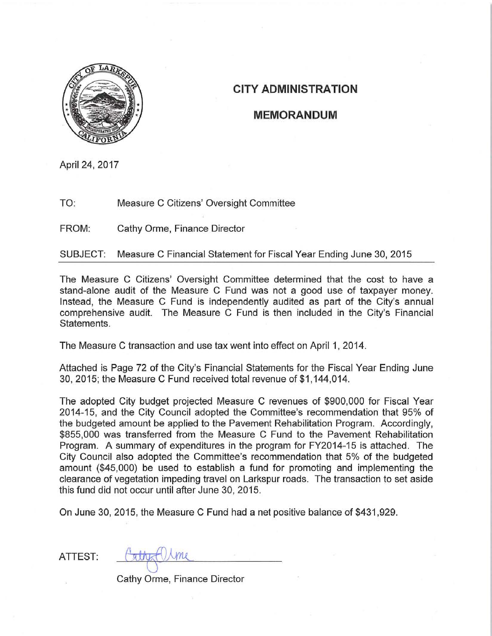

## **CITY ADMINISTRATION**

#### **MEMORANDUM**

April 24, 2017

TO: Measure C Citizens' Oversight Committee

FROM: Cathy Orme, Finance Director

Measure C Financial Statement for Fiscal Year Ending June 30, 2015 SUBJECT:

The Measure C Citizens' Oversight Committee determined that the cost to have a stand-alone audit of the Measure C Fund was not a good use of taxpayer money. Instead, the Measure C Fund is independently audited as part of the City's annual comprehensive audit. The Measure C Fund is then included in the City's Financial Statements.

The Measure C transaction and use tax went into effect on April 1, 2014.

Attached is Page 72 of the City's Financial Statements for the Fiscal Year Ending June 30, 2015; the Measure C Fund received total revenue of \$1,144,014.

The adopted City budget projected Measure C revenues of \$900,000 for Fiscal Year 2014-15, and the City Council adopted the Committee's recommendation that 95% of the budgeted amount be applied to the Pavement Rehabilitation Program. Accordingly, \$855,000 was transferred from the Measure C Fund to the Pavement Rehabilitation Program. A summary of expenditures in the program for FY2014-15 is attached. The City Council also adopted the Committee's recommendation that 5% of the budgeted amount (\$45,000) be used to establish a fund for promoting and implementing the clearance of vegetation impeding travel on Larkspur roads. The transaction to set aside this fund did not occur until after June 30, 2015.

On June 30, 2015, the Measure C Fund had a net positive balance of \$431,929.

ATTEST:

Cathy Orme, Finance Director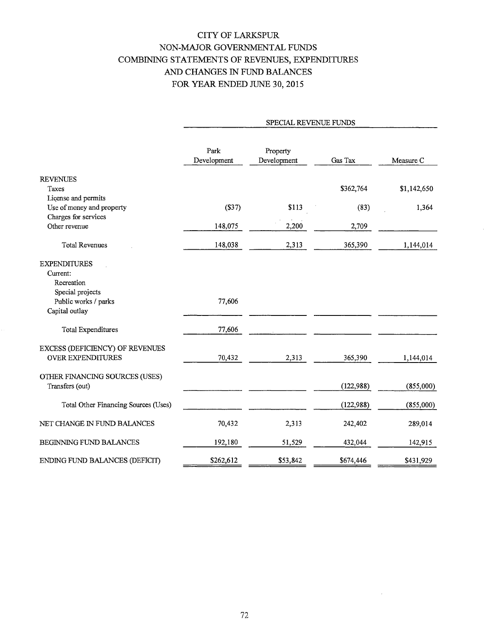### CITY OF LARKSPUR NON-MAJOR GOVERNMENTAL FUNDS COMBINING STATEMENTS OF REVENUES, EXPENDITURES AND CHANGES IN FUND BALANCES FOR YEAR ENDED JUNE 30, 2015

|                                      | SPECIAL REVENUE FUNDS |                         |            |             |  |
|--------------------------------------|-----------------------|-------------------------|------------|-------------|--|
|                                      | Park<br>Development   | Property<br>Development | Gas Tax    | Measure C   |  |
| <b>REVENUES</b>                      |                       |                         |            |             |  |
| Taxes                                |                       |                         | \$362,764  | \$1,142,650 |  |
| License and permits                  |                       |                         |            |             |  |
| Use of money and property            | (S37)                 | \$113                   | (83)       | 1,364       |  |
| Charges for services                 |                       |                         |            |             |  |
| Other revenue                        | 148,075               | 2,200                   | 2,709      |             |  |
| <b>Total Revenues</b>                | 148,038               | 2,313                   | 365,390    | 1,144,014   |  |
| <b>EXPENDITURES</b>                  |                       |                         |            |             |  |
| Current:                             |                       |                         |            |             |  |
| Recreation                           |                       |                         |            |             |  |
| Special projects                     |                       |                         |            |             |  |
| Public works / parks                 | 77,606                |                         |            |             |  |
| Capital outlay                       |                       |                         |            |             |  |
| Total Expenditures                   | 77,606                |                         |            |             |  |
| EXCESS (DEFICIENCY) OF REVENUES      |                       |                         |            |             |  |
| <b>OVER EXPENDITURES</b>             | 70,432                | 2,313                   | 365,390    | 1,144,014   |  |
| OTHER FINANCING SOURCES (USES)       |                       |                         |            |             |  |
| Transfers (out)                      |                       |                         | (122,988)  | (855,000)   |  |
|                                      |                       |                         |            |             |  |
| Total Other Financing Sources (Uses) |                       |                         | (122, 988) | (855,000)   |  |
| NET CHANGE IN FUND BALANCES          | 70,432                | 2,313                   | 242,402    | 289,014     |  |
| BEGINNING FUND BALANCES              | 192,180               | 51,529                  | 432,044    | 142,915     |  |
| ENDING FUND BALANCES (DEFICIT)       | \$262,612             | \$53,842                | \$674,446  | \$431,929   |  |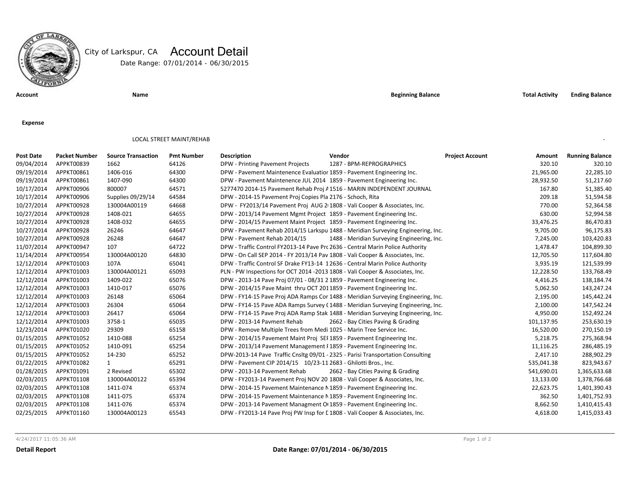

# City of Larkspur, CA Account Detail

Date Range: 07/01/2014 - 06/30/2015

**Account Name Beginning Balance Total Activity Ending Balance**

**Expense**

#### LOCAL STREET MAINT/REHAB

| <b>Post Date</b> | <b>Packet Number</b> | <b>Source Transaction</b> | <b>Pmt Number</b> | <b>Description</b>                                                              | Vendor                                                                            | <b>Project Account</b><br>Amount | <b>Running Balance</b> |
|------------------|----------------------|---------------------------|-------------------|---------------------------------------------------------------------------------|-----------------------------------------------------------------------------------|----------------------------------|------------------------|
| 09/04/2014       | APPKT00839           | 1662                      | 64126             | DPW - Printing Pavement Projects                                                | 1287 - BPM-REPROGRAPHICS                                                          | 320.10                           | 320.10                 |
| 09/19/2014       | APPKT00861           | 1406-016                  | 64300             | DPW - Pavement Maintenence Evaluatior 1859 - Pavement Engineering Inc.          |                                                                                   | 21,965.00                        | 22,285.10              |
| 09/19/2014       | APPKT00861           | 1407-090                  | 64300             | DPW - Pavement Maintenence JUL 2014 1859 - Pavement Engineering Inc.            |                                                                                   | 28,932.50                        | 51,217.60              |
| 10/17/2014       | APPKT00906           | 800007                    | 64571             | 5277470 2014-15 Pavement Rehab Proj / 1516 - MARIN INDEPENDENT JOURNAL          |                                                                                   | 167.80                           | 51,385.40              |
| 10/17/2014       | APPKT00906           | Supplies 09/29/14         | 64584             | DPW - 2014-15 Pavement Proj Copies Pla 2176 - Schoch, Rita                      |                                                                                   | 209.18                           | 51,594.58              |
| 10/27/2014       | APPKT00928           | 130004A00119              | 64668             | DPW - FY2013/14 Pavement Proj AUG 2 1808 - Vali Cooper & Associates, Inc.       |                                                                                   | 770.00                           | 52,364.58              |
| 10/27/2014       | APPKT00928           | 1408-021                  | 64655             | DPW - 2013/14 Pavement Mgmt Project 1859 - Pavement Engineering Inc.            |                                                                                   | 630.00                           | 52,994.58              |
| 10/27/2014       | APPKT00928           | 1408-032                  | 64655             | DPW - 2014/15 Pavement Maint Project 1859 - Pavement Engineering Inc.           |                                                                                   | 33,476.25                        | 86,470.83              |
| 10/27/2014       | APPKT00928           | 26246                     | 64647             |                                                                                 | DPW - Pavement Rehab 2014/15 Larkspu 1488 - Meridian Surveying Engineering, Inc.  | 9,705.00                         | 96,175.83              |
| 10/27/2014       | APPKT00928           | 26248                     | 64647             | DPW - Pavement Rehab 2014/15                                                    | 1488 - Meridian Surveying Engineering, Inc.                                       | 7,245.00                         | 103,420.83             |
| 11/07/2014       | APPKT00947           | 107                       | 64722             | DPW - Traffic Control FY2013-14 Pave Prc 2636 - Central Marin Police Authority  |                                                                                   | 1,478.47                         | 104,899.30             |
| 11/14/2014       | APPKT00954           | 130004A00120              | 64830             | DPW - On Call SEP 2014 - FY 2013/14 Pav 1808 - Vali Cooper & Associates, Inc.   |                                                                                   | 12,705.50                        | 117,604.80             |
| 12/12/2014       | APPKT01003           | 107A                      | 65041             | DPW - Traffic Control SF Drake FY13-14 12636 - Central Marin Police Authority   |                                                                                   | 3,935.19                         | 121,539.99             |
| 12/12/2014       | APPKT01003           | 130004A00121              | 65093             | PLN - PW Inspections for OCT 2014 -2013 1808 - Vali Cooper & Associates, Inc.   |                                                                                   | 12,228.50                        | 133,768.49             |
| 12/12/2014       | APPKT01003           | 1409-022                  | 65076             | DPW - 2013-14 Pave Proj 07/01 - 08/31 2 1859 - Pavement Engineering Inc.        |                                                                                   | 4,416.25                         | 138,184.74             |
| 12/12/2014       | APPKT01003           | 1410-017                  | 65076             | DPW - 2014/15 Pave Maint thru OCT 2011859 - Pavement Engineering Inc.           |                                                                                   | 5,062.50                         | 143,247.24             |
| 12/12/2014       | APPKT01003           | 26148                     | 65064             |                                                                                 | DPW - FY14-15 Pave Proj ADA Ramps Cor 1488 - Meridian Surveying Engineering, Inc. | 2,195.00                         | 145,442.24             |
| 12/12/2014       | APPKT01003           | 26304                     | 65064             |                                                                                 | DPW - FY14-15 Pave ADA Ramps Survey (1488 - Meridian Surveying Engineering, Inc.  | 2,100.00                         | 147,542.24             |
| 12/12/2014       | APPKT01003           | 26417                     | 65064             |                                                                                 | DPW - FY14-15 Pave Proj ADA Ramp Stak 1488 - Meridian Surveying Engineering, Inc. | 4,950.00                         | 152,492.24             |
| 12/12/2014       | APPKT01003           | 3758-1                    | 65035             | DPW - 2013-14 Pavment Rehab                                                     | 2662 - Bay Cities Paving & Grading                                                | 101,137.95                       | 253,630.19             |
| 12/23/2014       | APPKT01020           | 29309                     | 65158             | DPW - Remove Multiple Trees from Medi 1025 - Marin Tree Service Inc.            |                                                                                   | 16,520.00                        | 270,150.19             |
| 01/15/2015       | APPKT01052           | 1410-088                  | 65254             | DPW - 2014/15 Pavement Maint Proj SEI 1859 - Pavement Engineering Inc.          |                                                                                   | 5,218.75                         | 275,368.94             |
| 01/15/2015       | APPKT01052           | 1410-091                  | 65254             | DPW - 2013/14 Pavement Management I 1859 - Pavement Engineering Inc.            |                                                                                   | 11,116.25                        | 286,485.19             |
| 01/15/2015       | APPKT01052           | 14-230                    | 65252             | DPW-2013-14 Pave Traffic Cnsltg 09/01 - 2325 - Parisi Transportation Consulting |                                                                                   | 2,417.10                         | 288,902.29             |
| 01/22/2015       | APPKT01082           | 1                         | 65291             | DPW - Pavement CIP 2014/15 10/23-11 2683 - Ghilotti Bros., Inc.                 |                                                                                   | 535,041.38                       | 823,943.67             |
| 01/28/2015       | APPKT01091           | 2 Revised                 | 65302             | DPW - 2013-14 Pavement Rehab                                                    | 2662 - Bay Cities Paving & Grading                                                | 541,690.01                       | 1,365,633.68           |
| 02/03/2015       | APPKT01108           | 130004A00122              | 65394             | DPW - FY2013-14 Pavement Proj NOV 20 1808 - Vali Cooper & Associates, Inc.      |                                                                                   | 13,133.00                        | 1,378,766.68           |
| 02/03/2015       | APPKT01108           | 1411-074                  | 65374             | DPW - 2014-15 Pavement Maintenance N 1859 - Pavement Engineering Inc.           |                                                                                   | 22,623.75                        | 1,401,390.43           |
| 02/03/2015       | APPKT01108           | 1411-075                  | 65374             | DPW - 2014-15 Pavement Maintenance N 1859 - Pavement Engineering Inc.           |                                                                                   | 362.50                           | 1,401,752.93           |
| 02/03/2015       | APPKT01108           | 1411-076                  | 65374             | DPW - 2013-14 Pavement Managment O 1859 - Pavement Engineering Inc.             |                                                                                   | 8,662.50                         | 1,410,415.43           |
| 02/25/2015       | APPKT01160           | 130004A00123              | 65543             | DPW - FY2013-14 Pave Proj PW Insp for L1808 - Vali Cooper & Associates, Inc.    |                                                                                   | 4,618.00                         | 1,415,033.43           |

4/24/2017 11:05:36 AM Page 1 of 2